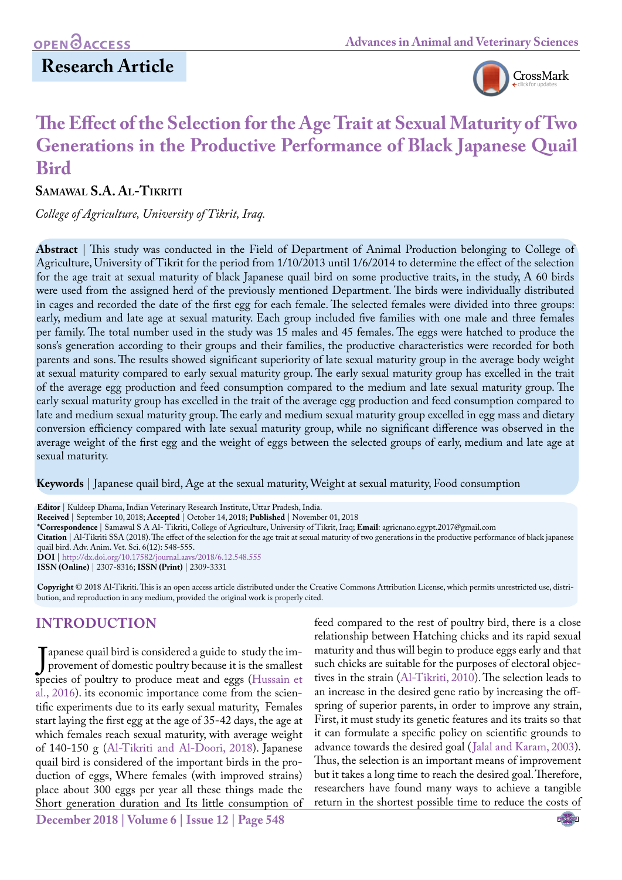# **Research Article**



# **The Effect of the Selection for the Age Trait at Sexual Maturity of Two Generations in the Productive Performance of Black Japanese Quail Bird**

### **Samawal S.A. Al-Tikriti**

*College of Agriculture, University of Tikrit, Iraq.*

**Abstract** | This study was conducted in the Field of Department of Animal Production belonging to College of Agriculture, University of Tikrit for the period from 1/10/2013 until 1/6/2014 to determine the effect of the selection for the age trait at sexual maturity of black Japanese quail bird on some productive traits, in the study, A 60 birds were used from the assigned herd of the previously mentioned Department. The birds were individually distributed in cages and recorded the date of the first egg for each female. The selected females were divided into three groups: early, medium and late age at sexual maturity. Each group included five families with one male and three females per family. The total number used in the study was 15 males and 45 females. The eggs were hatched to produce the sons's generation according to their groups and their families, the productive characteristics were recorded for both parents and sons. The results showed significant superiority of late sexual maturity group in the average body weight at sexual maturity compared to early sexual maturity group. The early sexual maturity group has excelled in the trait of the average egg production and feed consumption compared to the medium and late sexual maturity group. The early sexual maturity group has excelled in the trait of the average egg production and feed consumption compared to late and medium sexual maturity group. The early and medium sexual maturity group excelled in egg mass and dietary conversion efficiency compared with late sexual maturity group, while no significant difference was observed in the average weight of the first egg and the weight of eggs between the selected groups of early, medium and late age at sexual maturity.

**Keywords** | Japanese quail bird, Age at the sexual maturity, Weight at sexual maturity, Food consumption

**Editor** | Kuldeep Dhama, Indian Veterinary Research Institute, Uttar Pradesh, India. **Received** | September 10, 2018; **Accepted** | October 14, 2018; **Published** | November 01, 2018 **\*Correspondence** | Samawal S A Al- Tikriti, College of Agriculture, University of Tikrit, Iraq; **Email**: agricnano.egypt.2017@gmail.com **Citation** | Al-Tikriti SSA (2018). The effect of the selection for the age trait at sexual maturity of two generations in the productive performance of black japanese quail bird. Adv. Anim. Vet. Sci. 6(12): 548-555. **DOI** | [http://dx.doi.org/10.17582/journal.aavs/2018/6.1](http://dx.doi.org/10.17582/journal.aavs/2018/6.12.548.555)2.548.555 **ISSN (Online)** | 2307-8316; **ISSN (Print)** | 2309-3331

**Copyright** © 2018 Al-Tikriti. This is an open access article distributed under the Creative Commons Attribution License, which permits unrestricted use, distribution, and reproduction in any medium, provided the original work is properly cited.

## **INTRODUCTION**

**December 2018 | Volume 6 | Issue 12 | Page 548** provement of domestic poultry because it is the smallest<br>species of poultry to produce meat and eggs (Hussain et Tapanese quail bird is considered a guide to study the improvement of domestic poultry because it is the smallest [al., 2016\)](#page-6-0). its economic importance come from the scientific experiments due to its early sexual maturity, Females start laying the first egg at the age of 35-42 days, the age at which females reach sexual maturity, with average weight of 140-150 g [\(Al-Tikriti and Al-Doori, 2018\)](#page-6-1). Japanese quail bird is considered of the important birds in the production of eggs, Where females (with improved strains) place about 300 eggs per year all these things made the Short generation duration and Its little consumption of

feed compared to the rest of poultry bird, there is a close relationship between Hatching chicks and its rapid sexual maturity and thus will begin to produce eggs early and that such chicks are suitable for the purposes of electoral objectives in the strain [\(Al-Tikriti, 2010](#page-6-2)). The selection leads to an increase in the desired gene ratio by increasing the offspring of superior parents, in order to improve any strain, First, it must study its genetic features and its traits so that it can formulate a specific policy on scientific grounds to advance towards the desired goal ([Jalal and Karam, 2003\)](#page-6-3). Thus, the selection is an important means of improvement but it takes a long time to reach the desired goal. Therefore, researchers have found many ways to achieve a tangible return in the shortest possible time to reduce the costs of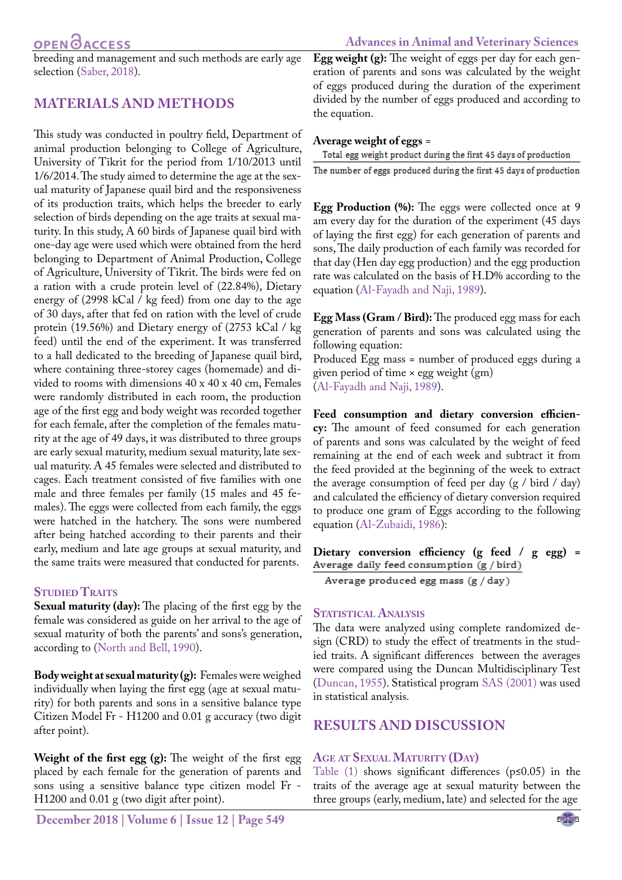breeding and management and such methods are early age selection [\(Saber, 2018](#page-6-4)).

### **MATERIALS AND METHODS**

This study was conducted in poultry field, Department of animal production belonging to College of Agriculture, University of Tikrit for the period from 1/10/2013 until 1/6/2014. The study aimed to determine the age at the sexual maturity of Japanese quail bird and the responsiveness of its production traits, which helps the breeder to early selection of birds depending on the age traits at sexual maturity. In this study, A 60 birds of Japanese quail bird with one-day age were used which were obtained from the herd belonging to Department of Animal Production, College of Agriculture, University of Tikrit. The birds were fed on a ration with a crude protein level of (22.84%), Dietary energy of (2998 kCal / kg feed) from one day to the age of 30 days, after that fed on ration with the level of crude protein (19.56%) and Dietary energy of (2753 kCal / kg feed) until the end of the experiment. It was transferred to a hall dedicated to the breeding of Japanese quail bird, where containing three-storey cages (homemade) and divided to rooms with dimensions 40 x 40 x 40 cm, Females were randomly distributed in each room, the production age of the first egg and body weight was recorded together for each female, after the completion of the females maturity at the age of 49 days, it was distributed to three groups are early sexual maturity, medium sexual maturity, late sexual maturity. A 45 females were selected and distributed to cages. Each treatment consisted of five families with one male and three females per family (15 males and 45 females). The eggs were collected from each family, the eggs were hatched in the hatchery. The sons were numbered after being hatched according to their parents and their early, medium and late age groups at sexual maturity, and the same traits were measured that conducted for parents.

#### **STUDIED TRAITS**

**Sexual maturity (day):** The placing of the first egg by the female was considered as guide on her arrival to the age of sexual maturity of both the parents' and sons's generation, according to [\(North and Bell, 1990](#page-6-5)).

**Body weight at sexual maturity (g):** Females were weighed individually when laying the first egg (age at sexual maturity) for both parents and sons in a sensitive balance type Citizen Model Fr - H1200 and 0.01 g accuracy (two digit after point).

**Weight of the first egg (g):** The weight of the first egg placed by each female for the generation of parents and sons using a sensitive balance type citizen model Fr - H1200 and 0.01 g (two digit after point).

**Egg weight (g):** The weight of eggs per day for each generation of parents and sons was calculated by the weight of eggs produced during the duration of the experiment divided by the number of eggs produced and according to the equation.

**Average weight of eggs =<br>Total egg weight product during the first 45 days of production** The number of eggs produced during the first 45 days of production

**Egg Production (%):** The eggs were collected once at 9 am every day for the duration of the experiment (45 days of laying the first egg) for each generation of parents and sons, The daily production of each family was recorded for that day (Hen day egg production) and the egg production rate was calculated on the basis of H.D% according to the equation [\(Al-Fayadh and Naji, 1989\)](#page-5-0).

**Egg Mass (Gram / Bird):** The produced egg mass for each generation of parents and sons was calculated using the following equation:

Produced Egg mass = number of produced eggs during a given period of time × egg weight (gm) [\(Al-Fayadh and Naji, 1989](#page-5-0)).

**Feed consumption and dietary conversion efficiency:** The amount of feed consumed for each generation of parents and sons was calculated by the weight of feed remaining at the end of each week and subtract it from the feed provided at the beginning of the week to extract the average consumption of feed per day (g / bird / day) and calculated the efficiency of dietary conversion required to produce one gram of Eggs according to the following equation [\(Al-Zubaidi, 1986\)](#page-6-6):

**Dietary conversion efficiency (g feed / g egg) =** 

Average produced egg mass (g / day)

#### **STATISTICAL ANALYSIS**

The data were analyzed using complete randomized design (CRD) to study the effect of treatments in the studied traits. A significant differences between the averages were compared using the Duncan Multidisciplinary Test [\(Duncan, 1955](#page-6-7)). Statistical program SAS (2001) was used in statistical analysis.

### **RESULTS AND DISCUSSION**

#### **Age at Sexual Maturity (Day)**

<span id="page-1-0"></span>[Table \(1\)](#page-1-0) shows significant differences (p≤0.05) in the traits of the average age at sexual maturity between the three groups (early, medium, late) and selected for the age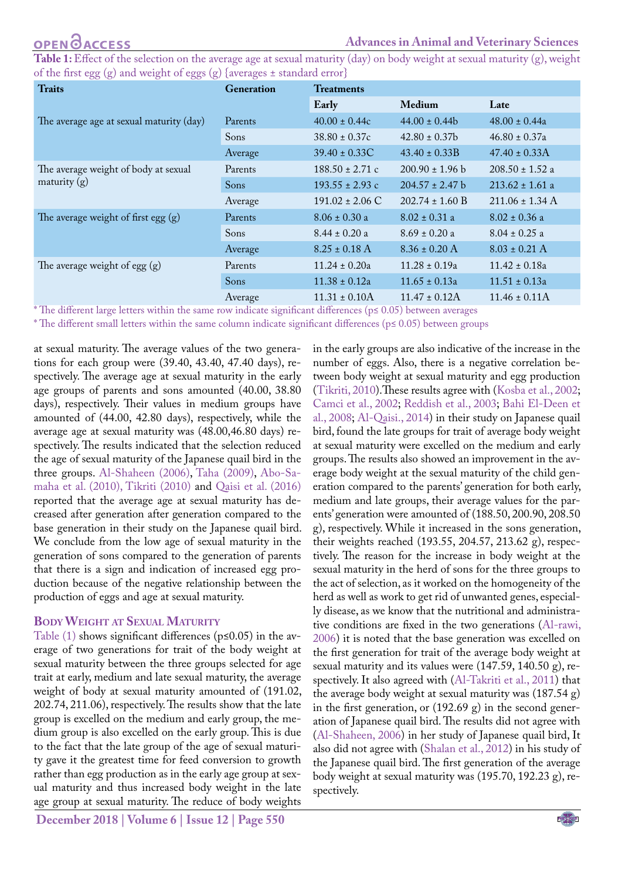**Table 1:** Effect of the selection on the average age at sexual maturity (day) on body weight at sexual maturity (g), weight of the first egg (g) and weight of eggs (g) {averages ± standard error}

| <b>Traits</b>                                          | Generation  | <b>Treatments</b>   |                     |                     |  |
|--------------------------------------------------------|-------------|---------------------|---------------------|---------------------|--|
|                                                        |             | Early               | <b>Medium</b>       | Late                |  |
| The average age at sexual maturity (day)               | Parents     | $40.00 \pm 0.44c$   | $44.00 \pm 0.44$    | $48.00 \pm 0.44a$   |  |
|                                                        | Sons        | $38.80 \pm 0.37c$   | $42.80 \pm 0.37$    | $46.80 \pm 0.37a$   |  |
|                                                        | Average     | $39.40 \pm 0.33C$   | $43.40 \pm 0.33B$   | $47.40 \pm 0.33$ A  |  |
| The average weight of body at sexual<br>maturity $(g)$ | Parents     | $188.50 \pm 2.71$ c | $200.90 \pm 1.96$ b | $208.50 \pm 1.52$ a |  |
|                                                        | Sons        | $193.55 \pm 2.93$ c | $204.57 \pm 2.47$ b | $213.62 \pm 1.61$ a |  |
|                                                        | Average     | $191.02 \pm 2.06$ C | $202.74 \pm 1.60$ B | $211.06 \pm 1.34$ A |  |
| The average weight of first egg $(g)$                  | Parents     | $8.06 \pm 0.30$ a   | $8.02 \pm 0.31$ a   | $8.02 \pm 0.36$ a   |  |
|                                                        | <b>Sons</b> | $8.44 \pm 0.20$ a   | $8.69 \pm 0.20 a$   | $8.04 \pm 0.25$ a   |  |
|                                                        | Average     | $8.25 \pm 0.18$ A   | $8.36 \pm 0.20$ A   | $8.03 \pm 0.21$ A   |  |
| The average weight of egg $(g)$                        | Parents     | $11.24 \pm 0.20a$   | $11.28 \pm 0.19a$   | $11.42 \pm 0.18a$   |  |
|                                                        | Sons        | $11.38 \pm 0.12a$   | $11.65 \pm 0.13a$   | $11.51 \pm 0.13a$   |  |
|                                                        | Average     | $11.31 \pm 0.10A$   | $11.47 \pm 0.12$ A  | $11.46 \pm 0.11A$   |  |

\* The different large letters within the same row indicate significant differences (p≤ 0.05) between averages

\* The different small letters within the same column indicate significant differences (p≤ 0.05) between groups

at sexual maturity. The average values of the two generations for each group were (39.40, 43.40, 47.40 days), respectively. The average age at sexual maturity in the early age groups of parents and sons amounted (40.00, 38.80 days), respectively. Their values in medium groups have amounted of (44.00, 42.80 days), respectively, while the average age at sexual maturity was (48.00,46.80 days) respectively. The results indicated that the selection reduced the age of sexual maturity of the Japanese quail bird in the three groups. [Al-Shaheen \(2006\),](#page-5-1) [Taha \(2009\)](#page-7-0), [Abo-Sa](#page-5-2)[maha et al. \(2010\),](#page-5-2) [Tikriti \(2010\)](#page-6-2) and [Qaisi et al. \(2016\)](#page-6-8) reported that the average age at sexual maturity has decreased after generation after generation compared to the base generation in their study on the Japanese quail bird. We conclude from the low age of sexual maturity in the generation of sons compared to the generation of parents that there is a sign and indication of increased egg production because of the negative relationship between the production of eggs and age at sexual maturity.

#### **Body Weight at Sexual Maturity**

Table  $(1)$  shows significant differences ( $p \le 0.05$ ) in the average of two generations for trait of the body weight at sexual maturity between the three groups selected for age trait at early, medium and late sexual maturity, the average weight of body at sexual maturity amounted of (191.02, 202.74, 211.06), respectively. The results show that the late group is excelled on the medium and early group, the medium group is also excelled on the early group. This is due to the fact that the late group of the age of sexual maturity gave it the greatest time for feed conversion to growth rather than egg production as in the early age group at sexual maturity and thus increased body weight in the late age group at sexual maturity. The reduce of body weights

**December 2018 | Volume 6 | Issue 12 | Page 550**

in the early groups are also indicative of the increase in the number of eggs. Also, there is a negative correlation between body weight at sexual maturity and egg production (Tikriti, 2010).These results agree with ([Kosba et al., 2002](#page-6-9); Camci et al., 2002; [Reddish et al., 2003](#page-6-10); [Bahi El-Deen et](#page-6-11)  [al., 2008;](#page-6-11) [Al-Qaisi., 2014\)](#page-6-12) in their study on Japanese quail bird, found the late groups for trait of average body weight at sexual maturity were excelled on the medium and early groups. The results also showed an improvement in the average body weight at the sexual maturity of the child generation compared to the parents' generation for both early, medium and late groups, their average values for the parents' generation were amounted of (188.50, 200.90, 208.50 g), respectively. While it increased in the sons generation, their weights reached (193.55, 204.57, 213.62 g), respectively. The reason for the increase in body weight at the sexual maturity in the herd of sons for the three groups to the act of selection, as it worked on the homogeneity of the herd as well as work to get rid of unwanted genes, especially disease, as we know that the nutritional and administrative conditions are fixed in the two generations [\(Al-rawi,](#page-6-13)  [2006\)](#page-6-13) it is noted that the base generation was excelled on the first generation for trait of the average body weight at sexual maturity and its values were (147.59, 140.50 g), respectively. It also agreed with [\(Al-Takriti et al., 2011](#page-6-14)) that the average body weight at sexual maturity was (187.54 g) in the first generation, or (192.69 g) in the second generation of Japanese quail bird. The results did not agree with [\(Al-Shaheen, 2006\)](#page-5-1) in her study of Japanese quail bird, It also did not agree with [\(Shalan et al., 2012\)](#page-7-1) in his study of the Japanese quail bird. The first generation of the average body weight at sexual maturity was (195.70, 192.23 g), respectively.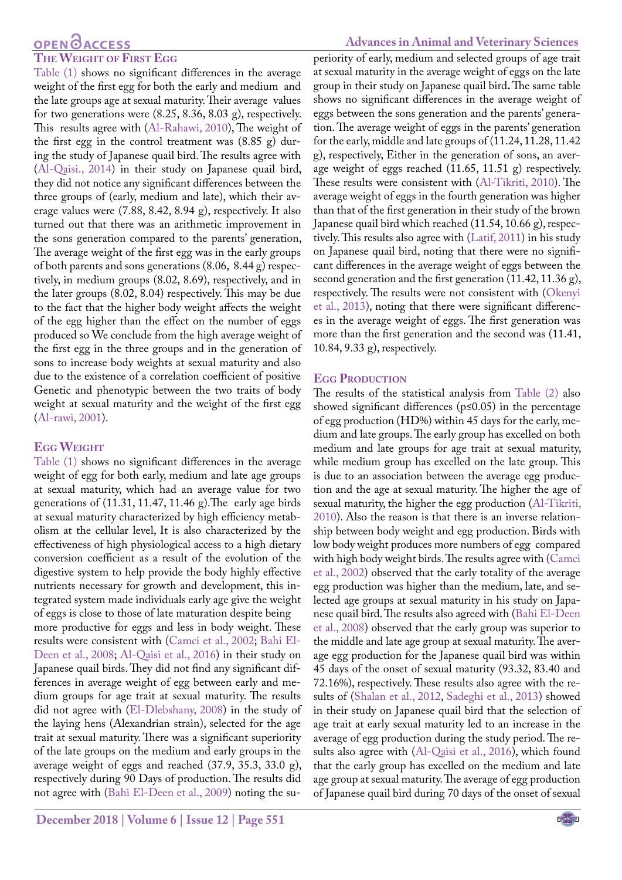### **OPEN**OACCESS

#### **The Weight of First Egg**

[Table \(1\)](#page-1-0) shows no significant differences in the average weight of the first egg for both the early and medium and the late groups age at sexual maturity. Their average values for two generations were (8.25, 8.36, 8.03 g), respectively. This results agree with ([Al-Rahawi, 2010](#page-6-15)), The weight of the first egg in the control treatment was (8.85 g) during the study of Japanese quail bird. The results agree with [\(Al-Qaisi., 2014\)](#page-6-12) in their study on Japanese quail bird, they did not notice any significant differences between the three groups of (early, medium and late), which their average values were (7.88, 8.42, 8.94 g), respectively. It also turned out that there was an arithmetic improvement in the sons generation compared to the parents' generation, The average weight of the first egg was in the early groups of both parents and sons generations (8.06, 8.44 g) respectively, in medium groups (8.02, 8.69), respectively, and in the later groups (8.02, 8.04) respectively. This may be due to the fact that the higher body weight affects the weight of the egg higher than the effect on the number of eggs produced so We conclude from the high average weight of the first egg in the three groups and in the generation of sons to increase body weights at sexual maturity and also due to the existence of a correlation coefficient of positive Genetic and phenotypic between the two traits of body weight at sexual maturity and the weight of the first egg [\(Al-rawi, 2001](#page-6-16)).

#### **Egg Weight**

[Table \(1\)](#page-1-0) shows no significant differences in the average weight of egg for both early, medium and late age groups at sexual maturity, which had an average value for two generations of (11.31, 11.47, 11.46 g).The early age birds at sexual maturity characterized by high efficiency metabolism at the cellular level, It is also characterized by the effectiveness of high physiological access to a high dietary conversion coefficient as a result of the evolution of the digestive system to help provide the body highly effective nutrients necessary for growth and development, this integrated system made individuals early age give the weight of eggs is close to those of late maturation despite being more productive for eggs and less in body weight. These results were consistent with (Camci et al., 2002; [Bahi El-](#page-6-11)[Deen et al., 2008](#page-6-11); [Al-Qaisi et al., 2016\)](#page-6-8) in their study on Japanese quail birds. They did not find any significant differences in average weight of egg between early and medium groups for age trait at sexual maturity. The results did not agree with [\(El-Dlebshany, 2008](#page-6-17)) in the study of the laying hens (Alexandrian strain), selected for the age trait at sexual maturity. There was a significant superiority of the late groups on the medium and early groups in the average weight of eggs and reached (37.9, 35.3, 33.0 g), respectively during 90 Days of production. The results did not agree with [\(Bahi El-Deen et al., 2009](#page-6-11)) noting the su-

### **Advances in Animal and Veterinary Sciences**

periority of early, medium and selected groups of age trait at sexual maturity in the average weight of eggs on the late group in their study on Japanese quail bird**.** The same table shows no significant differences in the average weight of eggs between the sons generation and the parents' generation. The average weight of eggs in the parents' generation for the early, middle and late groups of (11.24, 11.28, 11.42 g), respectively, Either in the generation of sons, an average weight of eggs reached (11.65, 11.51 g) respectively. These results were consistent with ([Al-Tikriti, 2010](#page-6-2)). The average weight of eggs in the fourth generation was higher than that of the first generation in their study of the brown Japanese quail bird which reached (11.54, 10.66 g), respectively. This results also agree with ([Latif, 2011](#page-6-18)) in his study on Japanese quail bird, noting that there were no significant differences in the average weight of eggs between the second generation and the first generation (11.42, 11.36 g), respectively. The results were not consistent with ([Okenyi](#page-6-19)  [et al., 2013\)](#page-6-19), noting that there were significant differences in the average weight of eggs. The first generation was more than the first generation and the second was (11.41, 10.84, 9.33 g), respectively.

#### **EGG PRODUCTION**

The results of the statistical analysis from Table (2) also showed significant differences (p≤0.05) in the percentage of egg production (HD%) within 45 days for the early, medium and late groups. The early group has excelled on both medium and late groups for age trait at sexual maturity, while medium group has excelled on the late group. This is due to an association between the average egg production and the age at sexual maturity. The higher the age of sexual maturity, the higher the egg production ([Al-Tikriti,](#page-6-2)  [2010](#page-6-2)). Also the reason is that there is an inverse relationship between body weight and egg production. Birds with low body weight produces more numbers of egg compared with high body weight birds. The results agree with (Camci et al., 2002) observed that the early totality of the average egg production was higher than the medium, late, and selected age groups at sexual maturity in his study on Japanese quail bird. The results also agreed with [\(Bahi El-Deen](#page-6-11)  [et al., 2008\)](#page-6-11) observed that the early group was superior to the middle and late age group at sexual maturity. The average egg production for the Japanese quail bird was within 45 days of the onset of sexual maturity (93.32, 83.40 and 72.16%), respectively. These results also agree with the results of [\(Shalan et al., 2012,](#page-7-1) [Sadeghi et al., 2013\)](#page-6-20) showed in their study on Japanese quail bird that the selection of age trait at early sexual maturity led to an increase in the average of egg production during the study period. The results also agree with ([Al-Qaisi et al., 2016\)](#page-6-8), which found that the early group has excelled on the medium and late age group at sexual maturity. The average of egg production of Japanese quail bird during 70 days of the onset of sexual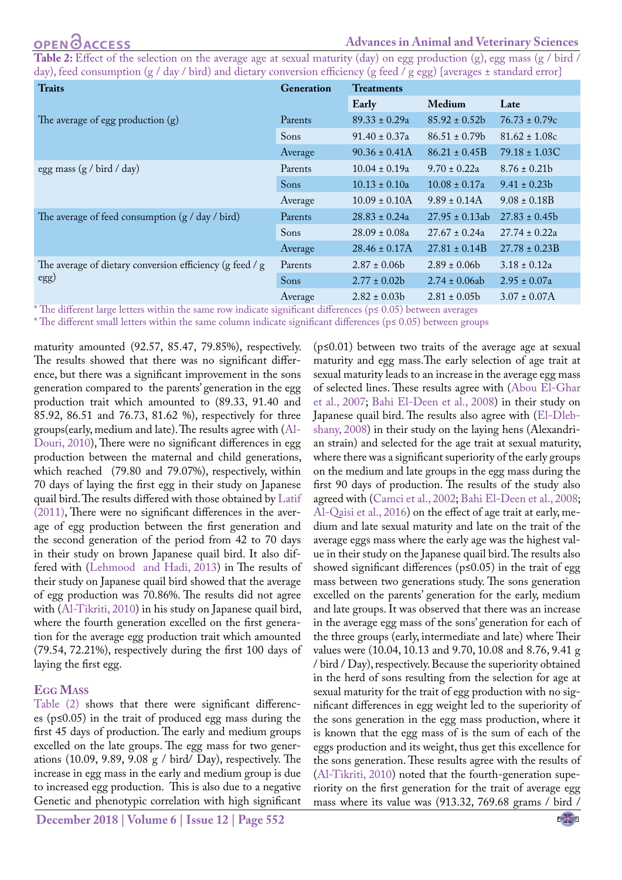<span id="page-4-0"></span>Table 2: Effect of the selection on the average age at sexual maturity (day) on egg production (g), egg mass (g / bird / day), feed consumption (g / day / bird) and dietary conversion efficiency (g feed / g egg) {averages ± standard error}

| <b>Traits</b>                                            | Generation | <b>Treatments</b>  |                    |                   |
|----------------------------------------------------------|------------|--------------------|--------------------|-------------------|
|                                                          |            | Early              | Medium             | Late              |
| The average of egg production $(g)$                      | Parents    | $89.33 \pm 0.29a$  | $85.92 \pm 0.52b$  | $76.73 \pm 0.79c$ |
|                                                          | Sons       | $91.40 \pm 0.37a$  | $86.51 \pm 0.79$   | $81.62 \pm 1.08c$ |
|                                                          | Average    | $90.36 \pm 0.41$ A | $86.21 \pm 0.45B$  | $79.18 \pm 1.03C$ |
| egg mass $(g / \text{bird} / \text{day})$                | Parents    | $10.04 \pm 0.19a$  | $9.70 \pm 0.22a$   | $8.76 \pm 0.21b$  |
|                                                          | Sons       | $10.13 \pm 0.10a$  | $10.08 \pm 0.17a$  | $9.41 \pm 0.23b$  |
|                                                          | Average    | $10.09 \pm 0.10A$  | $9.89 \pm 0.14$ A  | $9.08 \pm 0.18B$  |
| The average of feed consumption $(g / day / bird)$       | Parents    | $28.83 \pm 0.24a$  | $27.95 \pm 0.13ab$ | $27.83 \pm 0.45$  |
|                                                          | Sons       | $28.09 \pm 0.08a$  | $27.67 \pm 0.24a$  | $27.74 \pm 0.22a$ |
|                                                          | Average    | $28.46 \pm 0.17A$  | $27.81 \pm 0.14B$  | $27.78 \pm 0.23B$ |
| The average of dietary conversion efficiency (g feed / g | Parents    | $2.87 \pm 0.06b$   | $2.89 \pm 0.06$    | $3.18 \pm 0.12a$  |
| $\rm (egg)$                                              | Sons       | $2.77 \pm 0.02b$   | $2.74 \pm 0.06ab$  | $2.95 \pm 0.07a$  |
|                                                          | Average    | $2.82 \pm 0.03b$   | $2.81 \pm 0.05$    | $3.07 \pm 0.07$ A |

\* The different large letters within the same row indicate significant differences (p≤ 0.05) between averages

\* The different small letters within the same column indicate significant differences (p≤ 0.05) between groups

maturity amounted (92.57, 85.47, 79.85%), respectively. The results showed that there was no significant difference, but there was a significant improvement in the sons generation compared to the parents' generation in the egg production trait which amounted to (89.33, 91.40 and 85.92, 86.51 and 76.73, 81.62 %), respectively for three groups(early, medium and late). The results agree with ([Al-](#page-5-1)[Douri, 2010\)](#page-5-1), There were no significant differences in egg production between the maternal and child generations, which reached (79.80 and 79.07%), respectively, within 70 days of laying the first egg in their study on Japanese quail bird. The results differed with those obtained by [Latif](#page-6-18) [\(2011\),](#page-6-18) There were no significant differences in the average of egg production between the first generation and the second generation of the period from 42 to 70 days in their study on brown Japanese quail bird. It also differed with ([Lehmood and Hadi, 2013\)](#page-6-21) in The results of their study on Japanese quail bird showed that the average of egg production was 70.86%. The results did not agree with ([Al-Tikriti, 2010\)](#page-6-2) in his study on Japanese quail bird, where the fourth generation excelled on the first generation for the average egg production trait which amounted (79.54, 72.21%), respectively during the first 100 days of laying the first egg.

### **Egg Mass**

[Table \(2\)](#page-4-0) shows that there were significant differences (p≤0.05) in the trait of produced egg mass during the first 45 days of production. The early and medium groups excelled on the late groups. The egg mass for two generations (10.09, 9.89, 9.08 g / bird/ Day), respectively. The increase in egg mass in the early and medium group is due to increased egg production. This is also due to a negative Genetic and phenotypic correlation with high significant

 $(p \le 0.01)$  between two traits of the average age at sexual maturity and egg mass.The early selection of age trait at sexual maturity leads to an increase in the average egg mass of selected lines. These results agree with [\(Abou El-Ghar](#page-5-3)  [et al., 2007;](#page-5-3) [Bahi El-Deen et al., 2008](#page-6-11)) in their study on Japanese quail bird. The results also agree with [\(El-Dleb](#page-6-17)[shany, 2008](#page-6-17)) in their study on the laying hens (Alexandrian strain) and selected for the age trait at sexual maturity, where there was a significant superiority of the early groups on the medium and late groups in the egg mass during the first 90 days of production. The results of the study also agreed with (Camci et al., 2002; [Bahi El-Deen et al., 2008](#page-6-11); [Al-Qaisi et al., 2016](#page-6-8)) on the effect of age trait at early, medium and late sexual maturity and late on the trait of the average eggs mass where the early age was the highest value in their study on the Japanese quail bird. The results also showed significant differences ( $p \le 0.05$ ) in the trait of egg mass between two generations study. The sons generation excelled on the parents' generation for the early, medium and late groups. It was observed that there was an increase in the average egg mass of the sons' generation for each of the three groups (early, intermediate and late) where Their values were (10.04, 10.13 and 9.70, 10.08 and 8.76, 9.41 g / bird / Day), respectively. Because the superiority obtained in the herd of sons resulting from the selection for age at sexual maturity for the trait of egg production with no significant differences in egg weight led to the superiority of the sons generation in the egg mass production, where it is known that the egg mass of is the sum of each of the eggs production and its weight, thus get this excellence for the sons generation. These results agree with the results of ([Al-Tikriti, 2010](#page-6-2)) noted that the fourth-generation superiority on the first generation for the trait of average egg mass where its value was (913.32, 769.68 grams / bird /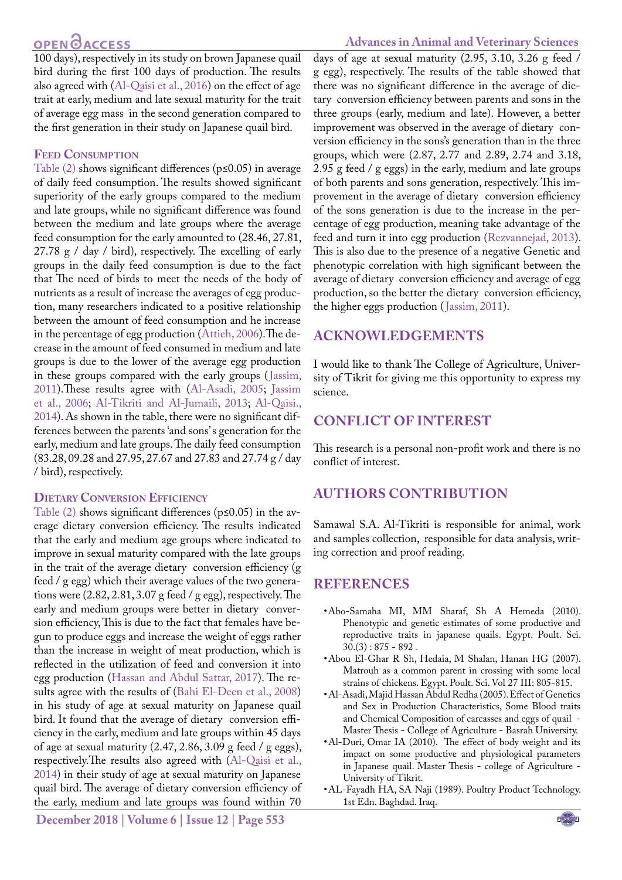### **OPEN**<sub>d</sub>

#### **Advances in Animal and Veterinary Sciences**

100 days), respectively in its study on brown Japanese quail bird during the first 100 days of production. The results also agreed with ([Al-Qaisi et al., 2016\)](#page-6-8) on the effect of age trait at early, medium and late sexual maturity for the trait of average egg mass in the second generation compared to the first generation in their study on Japanese quail bird.

#### **Feed Consumption**

Table  $(2)$  shows significant differences ( $p \le 0.05$ ) in average of daily feed consumption. The results showed significant superiority of the early groups compared to the medium and late groups, while no significant difference was found between the medium and late groups where the average feed consumption for the early amounted to (28.46, 27.81, 27.78 g / day / bird), respectively. The excelling of early groups in the daily feed consumption is due to the fact that The need of birds to meet the needs of the body of nutrients as a result of increase the averages of egg production, many researchers indicated to a positive relationship between the amount of feed consumption and he increase in the percentage of egg production ([Attieh, 2006\)](#page-6-22).The decrease in the amount of feed consumed in medium and late groups is due to the lower of the average egg production in these groups compared with the early groups ([Jassim,](#page-6-23) [2011\)](#page-6-23).These results agree with [\(Al-Asadi, 2005](#page-5-4); [Jassim](#page-6-24) [et al., 2006;](#page-6-24) [Al-Tikriti and Al-Jumaili, 2013](#page-6-25); [Al-Qaisi.,](#page-6-12) [2014\)](#page-6-12). As shown in the table, there were no significant differences between the parents 'and sons' s generation for the early, medium and late groups. The daily feed consumption (83.28, 09.28 and 27.95, 27.67 and 27.83 and 27.74 g / day / bird), respectively.

#### **Dietary Conversion Efficiency**

Table  $(2)$  shows significant differences ( $p \le 0.05$ ) in the average dietary conversion efficiency. The results indicated that the early and medium age groups where indicated to improve in sexual maturity compared with the late groups in the trait of the average dietary conversion efficiency (g feed / g egg) which their average values of the two generations were (2.82, 2.81, 3.07 g feed / g egg), respectively. The early and medium groups were better in dietary conversion efficiency, This is due to the fact that females have begun to produce eggs and increase the weight of eggs rather than the increase in weight of meat production, which is reflected in the utilization of feed and conversion it into egg production ([Hassan and Abdul Sattar, 2017\)](#page-6-26). The results agree with the results of [\(Bahi El-Deen et al., 2008](#page-6-11)) in his study of age at sexual maturity on Japanese quail bird. It found that the average of dietary conversion efficiency in the early, medium and late groups within 45 days of age at sexual maturity (2.47, 2.86, 3.09 g feed / g eggs), respectively.The results also agreed with [\(Al-Qaisi et al.,](#page-6-12) [2014\)](#page-6-12) in their study of age at sexual maturity on Japanese quail bird. The average of dietary conversion efficiency of the early, medium and late groups was found within 70

**December 2018 | Volume 6 | Issue 12 | Page 553**

days of age at sexual maturity (2.95, 3.10, 3.26 g feed / g egg), respectively. The results of the table showed that there was no significant difference in the average of dietary conversion efficiency between parents and sons in the three groups (early, medium and late). However, a better improvement was observed in the average of dietary conversion efficiency in the sons's generation than in the three groups, which were (2.87, 2.77 and 2.89, 2.74 and 3.18, 2.95 g feed / g eggs) in the early, medium and late groups of both parents and sons generation, respectively. This improvement in the average of dietary conversion efficiency of the sons generation is due to the increase in the percentage of egg production, meaning take advantage of the feed and turn it into egg production ([Rezvannejad, 2013](#page-6-27)). This is also due to the presence of a negative Genetic and phenotypic correlation with high significant between the average of dietary conversion efficiency and average of egg production, so the better the dietary conversion efficiency, the higher eggs production ([Jassim, 2011](#page-6-23)).

### **Acknowledgements**

I would like to thank The College of Agriculture, University of Tikrit for giving me this opportunity to express my science.

### **Conflict of interest**

This research is a personal non-profit work and there is no conflict of interest.

### **Authors contribution**

Samawal S.A. Al-Tikriti is responsible for animal, work and samples collection, responsible for data analysis, writing correction and proof reading.

### **REFERENCES**

- <span id="page-5-2"></span>• Abo-Samaha MI, MM Sharaf, Sh A Hemeda (2010). Phenotypic and genetic estimates of some productive and reproductive traits in japanese quails. Egypt. Poult. Sci.  $30.(3): 875 - 892$ .
- <span id="page-5-3"></span>• Abou El-Ghar R Sh, Hedaia, M Shalan, Hanan HG (2007). Matrouh as a common parent in crossing with some local strains of chickens. Egypt. Poult. Sci. Vol 27 III: 805-815.
- <span id="page-5-4"></span>• Al-Asadi, Majid Hassan Abdul Redha (2005). Effect of Genetics and Sex in Production Characteristics, Some Blood traits and Chemical Composition of carcasses and eggs of quail - Master Thesis - College of Agriculture - Basrah University.
- <span id="page-5-1"></span>• Al-Duri, Omar IA (2010). The effect of body weight and its impact on some productive and physiological parameters in Japanese quail. Master Thesis - college of Agriculture - University of Tikrit.
- <span id="page-5-0"></span>• AL-Fayadh HA, SA Naji (1989). Poultry Product Technology. 1st Edn. Baghdad. Iraq.

NE**X**US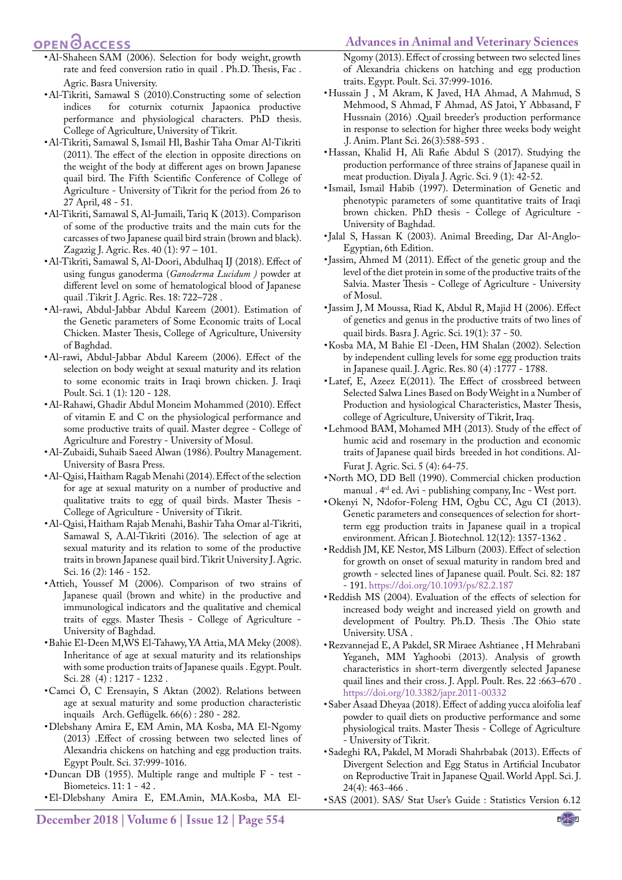#### **Advances in Animal and Veterinary Sciences**

### **OPEN**OACCESS

- • Al-Shaheen SAM (2006). Selection for body weight, growth rate and feed conversion ratio in quail . Ph.D. Thesis, Fac . Agric. Basra University.
- <span id="page-6-2"></span>• Al-Tikriti, Samawal S (2010).Constructing some of selection indices for coturnix coturnix Japaonica productive performance and physiological characters. PhD thesis. College of Agriculture, University of Tikrit.
- <span id="page-6-14"></span>• Al-Tikriti, Samawal S, Ismail Hl, Bashir Taha Omar Al-Tikriti (2011). The effect of the election in opposite directions on the weight of the body at different ages on brown Japanese quail bird. The Fifth Scientific Conference of College of Agriculture - University of Tikrit for the period from 26 to 27 April, 48 - 51.
- <span id="page-6-25"></span>• Al-Tikriti, Samawal S, Al-Jumaili, Tariq K (2013). Comparison of some of the productive traits and the main cuts for the carcasses of two Japanese quail bird strain (brown and black). Zagazig J. Agric. Res. 40 (1): 97 – 101.
- <span id="page-6-1"></span>• Al-Tikriti, Samawal S, Al-Doori, Abdulhaq IJ (2018). Effect of using fungus ganoderma (*Ganoderma Lucidum )* powder at different level on some of hematological blood of Japanese quail .Tikrit J. Agric. Res. 18: 722–728 .
- <span id="page-6-16"></span>• Al-rawi, Abdul-Jabbar Abdul Kareem (2001). Estimation of the Genetic parameters of Some Economic traits of Local Chicken. Master Thesis, College of Agriculture, University of Baghdad.
- <span id="page-6-13"></span>• Al-rawi, Abdul-Jabbar Abdul Kareem (2006). Effect of the selection on body weight at sexual maturity and its relation to some economic traits in Iraqi brown chicken. J. Iraqi Poult. Sci. 1 (1): 120 - 128.
- <span id="page-6-15"></span>• Al-Rahawi, Ghadir Abdul Moneim Mohammed (2010). Effect of vitamin E and C on the physiological performance and some productive traits of quail. Master degree - College of Agriculture and Forestry - University of Mosul.
- <span id="page-6-6"></span>• Al-Zubaidi, Suhaib Saeed Alwan (1986). Poultry Management. University of Basra Press.
- <span id="page-6-12"></span>• Al-Qaisi, Haitham Ragab Menahi (2014). Effect of the selection for age at sexual maturity on a number of productive and qualitative traits to egg of quail birds. Master Thesis - College of Agriculture - University of Tikrit.
- <span id="page-6-8"></span>• Al-Qaisi, Haitham Rajab Menahi, Bashir Taha Omar al-Tikriti, Samawal S, A.Al-Tikriti (2016). The selection of age at sexual maturity and its relation to some of the productive traits in brown Japanese quail bird. Tikrit University J. Agric. Sci. 16 (2): 146 - 152.
- <span id="page-6-22"></span>• Attieh, Youssef M (2006). Comparison of two strains of Japanese quail (brown and white) in the productive and immunological indicators and the qualitative and chemical traits of eggs. Master Thesis - College of Agriculture - University of Baghdad.
- <span id="page-6-11"></span>• Bahie El-Deen M,WS El-Tahawy, YA Attia, MA Meky (2008). Inheritance of age at sexual maturity and its relationships with some production traits of Japanese quails . Egypt. Poult. Sci. 28 (4) : 1217 - 1232 .
- • Camci Ö, C Erensayin, S Aktan (2002). Relations between age at sexual maturity and some production characteristic inquails Arch. Geflügelk. 66(6) : 280 - 282.
- • Dlebshany Amira E, EM Amin, MA Kosba, MA El-Ngomy (2013) .Effect of crossing between two selected lines of Alexandria chickens on hatching and egg production traits. Egypt Poult. Sci. 37:999-1016.
- <span id="page-6-7"></span>• Duncan DB (1955). Multiple range and multiple F - test - Biometeics. 11: 1 - 42 .
- <span id="page-6-17"></span>• El-Dlebshany Amira E, EM.Amin, MA.Kosba, MA El-

**December 2018 | Volume 6 | Issue 12 | Page 554**

Ngomy (2013). Effect of crossing between two selected lines of Alexandria chickens on hatching and egg production traits. Egypt. Poult. Sci. 37:999-1016.

- <span id="page-6-0"></span>• Hussain J , M Akram, K Javed, HA Ahmad, A Mahmud, S Mehmood, S Ahmad, F Ahmad, AS Jatoi, Y Abbasand, F Hussnain (2016) .Quail breeder's production performance in response to selection for higher three weeks body weight .J. Anim. Plant Sci. 26(3):588-593 .
- <span id="page-6-26"></span>• Hassan, Khalid H, Ali Rafie Abdul S (2017). Studying the production performance of three strains of Japanese quail in meat production. Diyala J. Agric. Sci. 9 (1): 42-52.
- • Ismail, Ismail Habib (1997). Determination of Genetic and phenotypic parameters of some quantitative traits of Iraqi brown chicken. PhD thesis - College of Agriculture - University of Baghdad.
- <span id="page-6-3"></span>• Jalal S, Hassan K (2003). Animal Breeding, Dar Al-Anglo-Egyptian, 6th Edition.
- <span id="page-6-23"></span>• Jassim, Ahmed M (2011). Effect of the genetic group and the level of the diet protein in some of the productive traits of the Salvia. Master Thesis - College of Agriculture - University of Mosul.
- <span id="page-6-24"></span>• Jassim J, M Moussa, Riad K, Abdul R, Majid H (2006). Effect of genetics and genus in the productive traits of two lines of quail birds. Basra J. Agric. Sci. 19(1): 37 - 50.
- <span id="page-6-9"></span>• Kosba MA, M Bahie El -Deen, HM Shalan (2002). Selection by independent culling levels for some egg production traits in Japanese quail. J. Agric. Res. 80 (4) :1777 - 1788.
- <span id="page-6-18"></span>• Latef, E, Azeez E(2011). The Effect of crossbreed between Selected Salwa Lines Based on Body Weight in a Number of Production and hysiological Characteristics, Master Thesis, college of Agriculture, University of Tikrit, Iraq.
- <span id="page-6-21"></span>• Lehmood BAM, Mohamed MH (2013). Study of the effect of humic acid and rosemary in the production and economic traits of Japanese quail birds breeded in hot conditions. Al-Furat J. Agric. Sci. 5 (4): 64-75.
- <span id="page-6-5"></span>• North MO, DD Bell (1990). Commercial chicken production manual . 4rd ed. Avi - publishing company, Inc - West port.
- <span id="page-6-19"></span>• Okenyi N, Ndofor-Foleng HM, Ogbu CC, Agu CI (2013). Genetic parameters and consequences of selection for shortterm egg production traits in Japanese quail in a tropical environment. African J. Biotechnol. 12(12): 1357-1362 .
- <span id="page-6-10"></span>• Reddish JM, KE Nestor, MS Lilburn (2003). Effect of selection for growth on onset of sexual maturity in random bred and growth - selected lines of Japanese quail. Poult. Sci. 82: 187 - 191[. https://doi.org/10.1093/ps/82.2.187]( https://doi.org/10.1093/ps/82.2.187 )
- Reddish MS (2004). Evaluation of the effects of selection for increased body weight and increased yield on growth and development of Poultry. Ph.D. Thesis .The Ohio state University. USA .
- <span id="page-6-27"></span>• Rezvannejad E, A Pakdel, SR Miraee Ashtianee , H Mehrabani Yeganeh, MM Yaghoobi (2013). Analysis of growth characteristics in short-term divergently selected Japanese quail lines and their cross. J. Appl. Poult. Res. 22 :663–670 . [https://doi.org/10.3382/japr.2011-00332](https://doi.org/10.3382/japr.2011-00332 )
- <span id="page-6-4"></span>• Saber Asaad Dheyaa (2018). Effect of adding yucca aloifolia leaf powder to quail diets on productive performance and some physiological traits. Master Thesis - College of Agriculture - University of Tikrit.
- <span id="page-6-20"></span>• Sadeghi RA, Pakdel, M Moradi Shahrbabak (2013). Effects of Divergent Selection and Egg Status in Artificial Incubator on Reproductive Trait in Japanese Quail. World Appl. Sci. J. 24(4): 463-466 .
- • SAS (2001). SAS/ Stat User's Guide : Statistics Version 6.12

NE**X**US